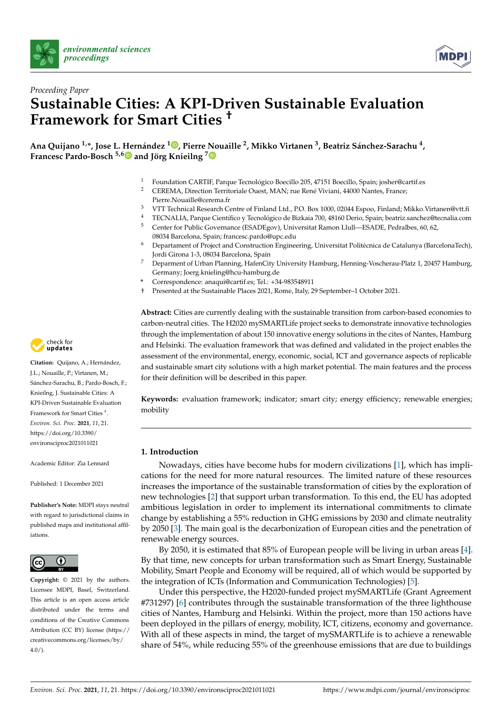



# *Proceeding Paper* **Sustainable Cities: A KPI-Driven Sustainable Evaluation Framework for Smart Cities †**

**Ana Quijano 1,\*, Jose L. Hernández <sup>1</sup> [,](https://orcid.org/0000-0002-7621-2937) Pierre Nouaille <sup>2</sup> , Mikko Virtanen <sup>3</sup> , Beatriz Sánchez-Sarachu <sup>4</sup> , Francesc Pardo-Bosch 5,[6](https://orcid.org/0000-0001-9532-8508) and Jörg Knieilng [7](https://orcid.org/0000-0003-1555-5458)**

- <sup>1</sup> Foundation CARTIF, Parque Tecnológico Boecillo 205, 47151 Boecillo, Spain; josher@cartif.es
- <sup>2</sup> CEREMA, Direction Territoriale Ouest, MAN; rue René Viviani, 44000 Nantes, France; Pierre.Nouaille@cerema.fr
- <sup>3</sup> VTT Technical Research Centre of Finland Ltd., P.O. Box 1000, 02044 Espoo, Finland; Mikko.Virtanen@vtt.fi
- 4 TECNALIA, Parque Científico y Tecnológico de Bizkaia 700, 48160 Derio, Spain; beatriz.sanchez@tecnalia.com<br>5 Center for Public Covernance (ESADEgov) Universitat Ramon Uull—ESADE Pedralhes 60, 62 <sup>5</sup> Center for Public Governance (ESADEgov), Universitat Ramon Llull—ESADE, Pedralbes, 60, 62,
- 08034 Barcelona, Spain; francesc.pardo@upc.edu
- <sup>6</sup> Departament of Project and Construction Engineering, Universitat Politècnica de Catalunya (BarcelonaTech), Jordi Girona 1-3, 08034 Barcelona, Spain
- <sup>7</sup> Deparment of Urban Planning, HafenCity University Hamburg, Henning-Voscherau-Platz 1, 20457 Hamburg, Germany; Joerg.knieling@hcu-hamburg.de
- **\*** Correspondence: anaqui@cartif.es; Tel.: +34-983548911
- † Presented at the Sustainable Places 2021, Rome, Italy, 29 September–1 October 2021.



**Citation:** Quijano, A.; Hernández, J.L.; Nouaille, P.; Virtanen, M.; Sánchez-Sarachu, B.; Pardo-Bosch, F.; Knieilng, J. Sustainable Cities: A KPI-Driven Sustainable Evaluation Framework for Smart Cities † . *Environ. Sci. Proc.* **2021**, *11*, 21. [https://doi.org/10.3390/](https://doi.org/10.3390/environsciproc2021011021) [environsciproc2021011021](https://doi.org/10.3390/environsciproc2021011021)

Academic Editor: Zia Lennard

Published: 1 December 2021

**Publisher's Note:** MDPI stays neutral with regard to jurisdictional claims in published maps and institutional affiliations.



**Copyright:** © 2021 by the authors. Licensee MDPI, Basel, Switzerland. This article is an open access article distributed under the terms and conditions of the Creative Commons Attribution (CC BY) license (https:/[/](https://creativecommons.org/licenses/by/4.0/) [creativecommons.org/licenses/by/](https://creativecommons.org/licenses/by/4.0/)  $4.0/$ ).

**Abstract:** Cities are currently dealing with the sustainable transition from carbon-based economies to carbon-neutral cities. The H2020 mySMARTLife project seeks to demonstrate innovative technologies through the implementation of about 150 innovative energy solutions in the cites of Nantes, Hamburg and Helsinki. The evaluation framework that was defined and validated in the project enables the assessment of the environmental, energy, economic, social, ICT and governance aspects of replicable and sustainable smart city solutions with a high market potential. The main features and the process for their definition will be described in this paper.

**Keywords:** evaluation framework; indicator; smart city; energy efficiency; renewable energies; mobility

# **1. Introduction**

Nowadays, cities have become hubs for modern civilizations [\[1\]](#page-3-0), which has implications for the need for more natural resources. The limited nature of these resources increases the importance of the sustainable transformation of cities by the exploration of new technologies [\[2\]](#page-3-1) that support urban transformation. To this end, the EU has adopted ambitious legislation in order to implement its international commitments to climate change by establishing a 55% reduction in GHG emissions by 2030 and climate neutrality by 2050 [\[3\]](#page-3-2). The main goal is the decarbonization of European cities and the penetration of renewable energy sources.

By 2050, it is estimated that 85% of European people will be living in urban areas [\[4\]](#page-3-3). By that time, new concepts for urban transformation such as Smart Energy, Sustainable Mobility, Smart People and Economy will be required, all of which would be supported by the integration of ICTs (Information and Communication Technologies) [\[5\]](#page-3-4).

Under this perspective, the H2020-funded project mySMARTLife (Grant Agreement #731297) [\[6\]](#page-3-5) contributes through the sustainable transformation of the three lighthouse cities of Nantes, Hamburg and Helsinki. Within the project, more than 150 actions have been deployed in the pillars of energy, mobility, ICT, citizens, economy and governance. With all of these aspects in mind, the target of mySMARTLife is to achieve a renewable share of 54%, while reducing 55% of the greenhouse emissions that are due to buildings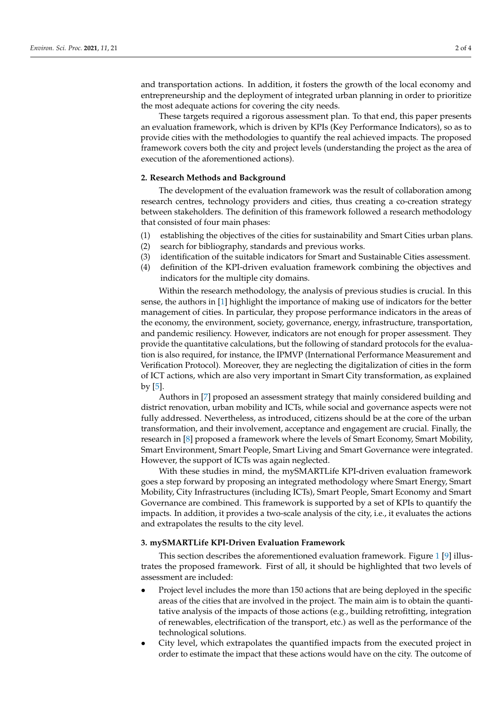and transportation actions. In addition, it fosters the growth of the local economy and entrepreneurship and the deployment of integrated urban planning in order to prioritize the most adequate actions for covering the city needs.

These targets required a rigorous assessment plan. To that end, this paper presents an evaluation framework, which is driven by KPIs (Key Performance Indicators), so as to provide cities with the methodologies to quantify the real achieved impacts. The proposed framework covers both the city and project levels (understanding the project as the area of execution of the aforementioned actions).

#### **2. Research Methods and Background**

The development of the evaluation framework was the result of collaboration among research centres, technology providers and cities, thus creating a co-creation strategy between stakeholders. The definition of this framework followed a research methodology that consisted of four main phases:

- (1) establishing the objectives of the cities for sustainability and Smart Cities urban plans.
- (2) search for bibliography, standards and previous works.
- (3) identification of the suitable indicators for Smart and Sustainable Cities assessment.
- (4) definition of the KPI-driven evaluation framework combining the objectives and indicators for the multiple city domains.

Within the research methodology, the analysis of previous studies is crucial. In this sense, the authors in [\[1\]](#page-3-0) highlight the importance of making use of indicators for the better management of cities. In particular, they propose performance indicators in the areas of the economy, the environment, society, governance, energy, infrastructure, transportation, and pandemic resiliency. However, indicators are not enough for proper assessment. They provide the quantitative calculations, but the following of standard protocols for the evaluation is also required, for instance, the IPMVP (International Performance Measurement and Verification Protocol). Moreover, they are neglecting the digitalization of cities in the form of ICT actions, which are also very important in Smart City transformation, as explained by [\[5\]](#page-3-4).

Authors in [\[7\]](#page-3-6) proposed an assessment strategy that mainly considered building and district renovation, urban mobility and ICTs, while social and governance aspects were not fully addressed. Nevertheless, as introduced, citizens should be at the core of the urban transformation, and their involvement, acceptance and engagement are crucial. Finally, the research in [\[8\]](#page-3-7) proposed a framework where the levels of Smart Economy, Smart Mobility, Smart Environment, Smart People, Smart Living and Smart Governance were integrated. However, the support of ICTs was again neglected.

With these studies in mind, the mySMARTLife KPI-driven evaluation framework goes a step forward by proposing an integrated methodology where Smart Energy, Smart Mobility, City Infrastructures (including ICTs), Smart People, Smart Economy and Smart Governance are combined. This framework is supported by a set of KPIs to quantify the impacts. In addition, it provides a two-scale analysis of the city, i.e., it evaluates the actions and extrapolates the results to the city level.

#### **3. mySMARTLife KPI-Driven Evaluation Framework**

This section describes the aforementioned evaluation framework. Figure [1](#page-2-0) [\[9\]](#page-3-8) illustrates the proposed framework. First of all, it should be highlighted that two levels of assessment are included:

- Project level includes the more than 150 actions that are being deployed in the specific areas of the cities that are involved in the project. The main aim is to obtain the quantitative analysis of the impacts of those actions (e.g., building retrofitting, integration of renewables, electrification of the transport, etc.) as well as the performance of the technological solutions.
- City level, which extrapolates the quantified impacts from the executed project in order to estimate the impact that these actions would have on the city. The outcome of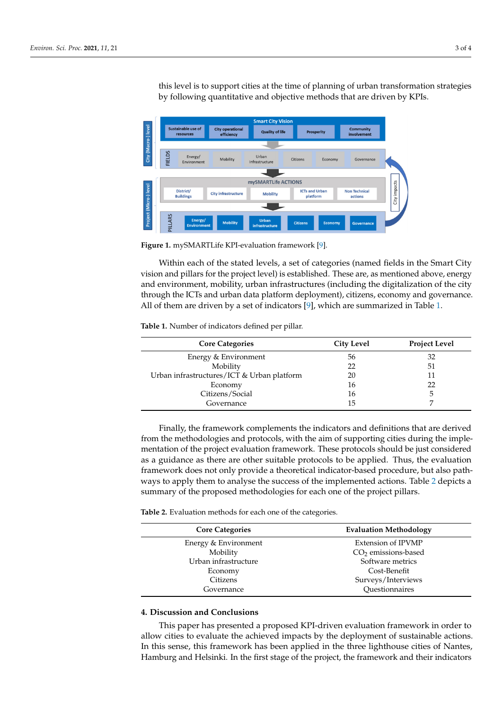this level is to support cities at the time of planning of urban transformation strategies by following quantitative and objective methods that are driven by KPIs. following quantitative and objective methods that are driven by KPIs. to estimate that the impact that the impact that the city. The outcome on this city. The outcome of this this city. The outcome of this come of this come of this come of this come of this come of this come of this come of level is to support cities at the time of planning of urban transformation strategies

<span id="page-2-0"></span>

**Figure 1.** mySMARTLife KPI-evaluation framework [9]. **Figure 1.** mySMARTLife KPI-evaluation framework [\[9\]](#page-3-8).

nological solutions.

Within each of the stated levels, a set of categories (named fields in the Smart City Within each of the stated levels, a set of categories (named fields in the Smart City vision and pillars for the project level) is established. These are, as mentioned above, energy and environment, mobility, urban infrastructures (including the digitalization of the city through the ICTs and urban data platform deployment), citizens, economy and governance. All of them are driven by a set of indicators [9], which are summariz[ed](#page-2-1) in Table 1.

<span id="page-2-1"></span>**Table 1.** Number of indicators defined per pillar.

| <b>Core Categories</b>                     | <b>City Level</b> | <b>Project Level</b> |
|--------------------------------------------|-------------------|----------------------|
| Energy & Environment                       | 56                | 32                   |
| Mobility                                   | 22                | 51                   |
| Urban infrastructures/ICT & Urban platform | 20                |                      |
| Economy                                    | 16                | 22                   |
| Citizens/Social                            | 16                | 5                    |
| Governance                                 | 15                |                      |
|                                            |                   |                      |

from the methodologies and protocols, with the aim of supporting cities during the implementation of the project evaluation framework. These protocols should be just considered as a guidance as there are other suitable protocols to be applied. Thus, the evaluation framework does not only provide a theoretical indicator-based procedure, but also pathways to apply them to analyse the success of the implemented actions. Table 2 depicts a summary of the proposed methodologies for each one of the project pillars. Finally, the framework complements the indicators and definitions that are derived

<span id="page-2-2"></span>**Table 2.** Evaluation methods for each one of the categories.

| <b>Evaluation Methodology</b> |  |
|-------------------------------|--|
| Extension of IPVMP            |  |
| $CO2$ emissions-based         |  |
| Software metrics              |  |
| Cost-Benefit                  |  |
| Surveys/Interviews            |  |
| Ouestionnaires                |  |
|                               |  |

### **4. Discussion and Conclusions**

This paper has presented a proposed KPI-driven evaluation framework in order to allow cities to evaluate the achieved impacts by the deployment of sustainable actions. In this sense, this framework has been applied in the three lighthouse cities of Nantes, Hamburg and Helsinki. In the first stage of the project, the framework and their indicators